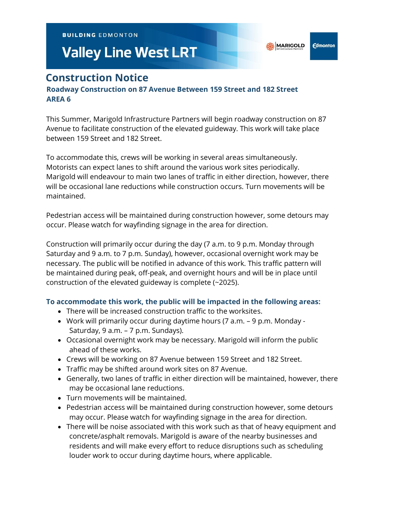**BUILDING EDMONTON** 

# **Valley Line West LRT**

**Edmonton** 

# **Construction Notice**

## **Roadway Construction on 87 Avenue Between 159 Street and 182 Street AREA 6**

This Summer, Marigold Infrastructure Partners will begin roadway construction on 87 Avenue to facilitate construction of the elevated guideway. This work will take place between 159 Street and 182 Street.

To accommodate this, crews will be working in several areas simultaneously. Motorists can expect lanes to shift around the various work sites periodically. Marigold will endeavour to main two lanes of traffic in either direction, however, there will be occasional lane reductions while construction occurs. Turn movements will be maintained.

Pedestrian access will be maintained during construction however, some detours may occur. Please watch for wayfinding signage in the area for direction.

Construction will primarily occur during the day (7 a.m. to 9 p.m. Monday through Saturday and 9 a.m. to 7 p.m. Sunday), however, occasional overnight work may be necessary. The public will be notified in advance of this work. This traffic pattern will be maintained during peak, off-peak, and overnight hours and will be in place until construction of the elevated guideway is complete (~2025).

### **To accommodate this work, the public will be impacted in the following areas:**

- There will be increased construction traffic to the worksites.
- Work will primarily occur during daytime hours (7 a.m. 9 p.m. Monday Saturday, 9 a.m. – 7 p.m. Sundays).
- Occasional overnight work may be necessary. Marigold will inform the public ahead of these works.
- Crews will be working on 87 Avenue between 159 Street and 182 Street.
- Traffic may be shifted around work sites on 87 Avenue.
- Generally, two lanes of traffic in either direction will be maintained, however, there may be occasional lane reductions.
- Turn movements will be maintained.
- Pedestrian access will be maintained during construction however, some detours may occur. Please watch for wayfinding signage in the area for direction.
- There will be noise associated with this work such as that of heavy equipment and concrete/asphalt removals. Marigold is aware of the nearby businesses and residents and will make every effort to reduce disruptions such as scheduling louder work to occur during daytime hours, where applicable.